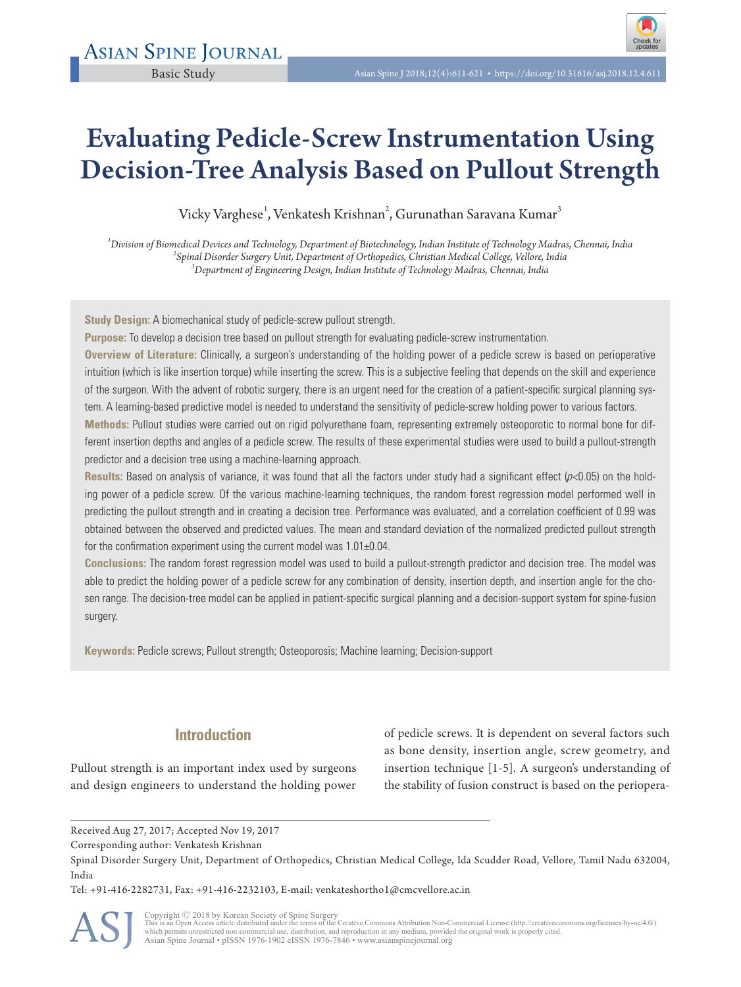

# Evaluating Pedicle-Screw Instrumentation Using Decision-Tree Analysis Based on Pullout Strength

Vicky Varghese<sup>1</sup>, Venkatesh Krishnan<sup>2</sup>, Gurunathan Saravana Kumar<sup>3</sup>

*<sup>1</sup>Division of Biomedical Devices and Technology, Department of Biotechnology, Indian Institute of Technology Madras, Chennai, India 2 Spinal Disorder Surgery Unit, Department of Orthopedics, Christian Medical College, Vellore, India <sup>3</sup>Department of Engineering Design, Indian Institute of Technology Madras, Chennai, India*

**Study Design:** A biomechanical study of pedicle-screw pullout strength.

**Purpose:** To develop a decision tree based on pullout strength for evaluating pedicle-screw instrumentation.

**Overview of Literature:** Clinically, a surgeon's understanding of the holding power of a pedicle screw is based on perioperative intuition (which is like insertion torque) while inserting the screw. This is a subjective feeling that depends on the skill and experience of the surgeon. With the advent of robotic surgery, there is an urgent need for the creation of a patient-specific surgical planning system. A learning-based predictive model is needed to understand the sensitivity of pedicle-screw holding power to various factors.

**Methods:** Pullout studies were carried out on rigid polyurethane foam, representing extremely osteoporotic to normal bone for different insertion depths and angles of a pedicle screw. The results of these experimental studies were used to build a pullout-strength predictor and a decision tree using a machine-learning approach.

**Results:** Based on analysis of variance, it was found that all the factors under study had a significant effect (p<0.05) on the holding power of a pedicle screw. Of the various machine-learning techniques, the random forest regression model performed well in predicting the pullout strength and in creating a decision tree. Performance was evaluated, and a correlation coefficient of 0.99 was obtained between the observed and predicted values. The mean and standard deviation of the normalized predicted pullout strength for the confirmation experiment using the current model was 1.01±0.04.

**Conclusions:** The random forest regression model was used to build a pullout-strength predictor and decision tree. The model was able to predict the holding power of a pedicle screw for any combination of density, insertion depth, and insertion angle for the chosen range. The decision-tree model can be applied in patient-specific surgical planning and a decision-support system for spine-fusion surgery.

**Keywords:** Pedicle screws; Pullout strength; Osteoporosis; Machine learning; Decision-support

# **Introduction**

Pullout strength is an important index used by surgeons and design engineers to understand the holding power of pedicle screws. It is dependent on several factors such as bone density, insertion angle, screw geometry, and insertion technique [1-5]. A surgeon's understanding of the stability of fusion construct is based on the periopera-

Tel: +91-416-2282731, Fax: +91-416-2232103, E-mail: venkateshortho1@cmcvellore.ac.in

ASJ

Copyright © 2018 by Korean Society of Spine Surgery<br>This is an Open Access article distributed under the terms of the Creative Commons Attribution Non-Commercial License (http://creativecommons.org/licenses/by-nc/4.0/)<br>whi Asian Spine Journal • pISSN 1976-1902 eISSN 1976-7846 • www.asianspinejournal.org

Received Aug 27, 2017; Accepted Nov 19, 2017

Corresponding author: Venkatesh Krishnan

Spinal Disorder Surgery Unit, Department of Orthopedics, Christian Medical College, Ida Scudder Road, Vellore, Tamil Nadu 632004, India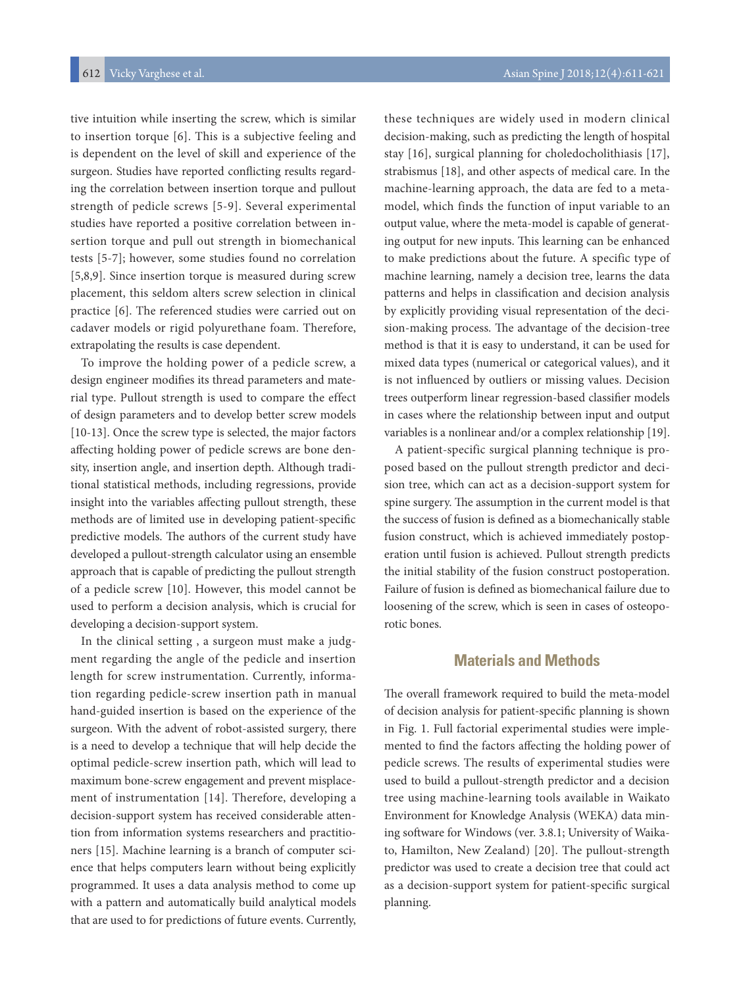tive intuition while inserting the screw, which is similar to insertion torque [6]. This is a subjective feeling and is dependent on the level of skill and experience of the surgeon. Studies have reported conflicting results regarding the correlation between insertion torque and pullout strength of pedicle screws [5-9]. Several experimental studies have reported a positive correlation between insertion torque and pull out strength in biomechanical tests [5-7]; however, some studies found no correlation [5,8,9]. Since insertion torque is measured during screw placement, this seldom alters screw selection in clinical practice [6]. The referenced studies were carried out on cadaver models or rigid polyurethane foam. Therefore, extrapolating the results is case dependent.

To improve the holding power of a pedicle screw, a design engineer modifies its thread parameters and material type. Pullout strength is used to compare the effect of design parameters and to develop better screw models [10-13]. Once the screw type is selected, the major factors affecting holding power of pedicle screws are bone density, insertion angle, and insertion depth. Although traditional statistical methods, including regressions, provide insight into the variables affecting pullout strength, these methods are of limited use in developing patient-specific predictive models. The authors of the current study have developed a pullout-strength calculator using an ensemble approach that is capable of predicting the pullout strength of a pedicle screw [10]. However, this model cannot be used to perform a decision analysis, which is crucial for developing a decision-support system.

In the clinical setting , a surgeon must make a judgment regarding the angle of the pedicle and insertion length for screw instrumentation. Currently, information regarding pedicle-screw insertion path in manual hand-guided insertion is based on the experience of the surgeon. With the advent of robot-assisted surgery, there is a need to develop a technique that will help decide the optimal pedicle-screw insertion path, which will lead to maximum bone-screw engagement and prevent misplacement of instrumentation [14]. Therefore, developing a decision-support system has received considerable attention from information systems researchers and practitioners [15]. Machine learning is a branch of computer science that helps computers learn without being explicitly programmed. It uses a data analysis method to come up with a pattern and automatically build analytical models that are used to for predictions of future events. Currently,

these techniques are widely used in modern clinical decision-making, such as predicting the length of hospital stay [16], surgical planning for choledocholithiasis [17], strabismus [18], and other aspects of medical care. In the machine-learning approach, the data are fed to a metamodel, which finds the function of input variable to an output value, where the meta-model is capable of generating output for new inputs. This learning can be enhanced to make predictions about the future. A specific type of machine learning, namely a decision tree, learns the data patterns and helps in classification and decision analysis by explicitly providing visual representation of the decision-making process. The advantage of the decision-tree method is that it is easy to understand, it can be used for mixed data types (numerical or categorical values), and it is not influenced by outliers or missing values. Decision trees outperform linear regression-based classifier models in cases where the relationship between input and output variables is a nonlinear and/or a complex relationship [19].

A patient-specific surgical planning technique is proposed based on the pullout strength predictor and decision tree, which can act as a decision-support system for spine surgery. The assumption in the current model is that the success of fusion is defined as a biomechanically stable fusion construct, which is achieved immediately postoperation until fusion is achieved. Pullout strength predicts the initial stability of the fusion construct postoperation. Failure of fusion is defined as biomechanical failure due to loosening of the screw, which is seen in cases of osteoporotic bones.

### **Materials and Methods**

The overall framework required to build the meta-model of decision analysis for patient-specific planning is shown in Fig. 1. Full factorial experimental studies were implemented to find the factors affecting the holding power of pedicle screws. The results of experimental studies were used to build a pullout-strength predictor and a decision tree using machine-learning tools available in Waikato Environment for Knowledge Analysis (WEKA) data mining software for Windows (ver. 3.8.1; University of Waikato, Hamilton, New Zealand) [20]. The pullout-strength predictor was used to create a decision tree that could act as a decision-support system for patient-specific surgical planning.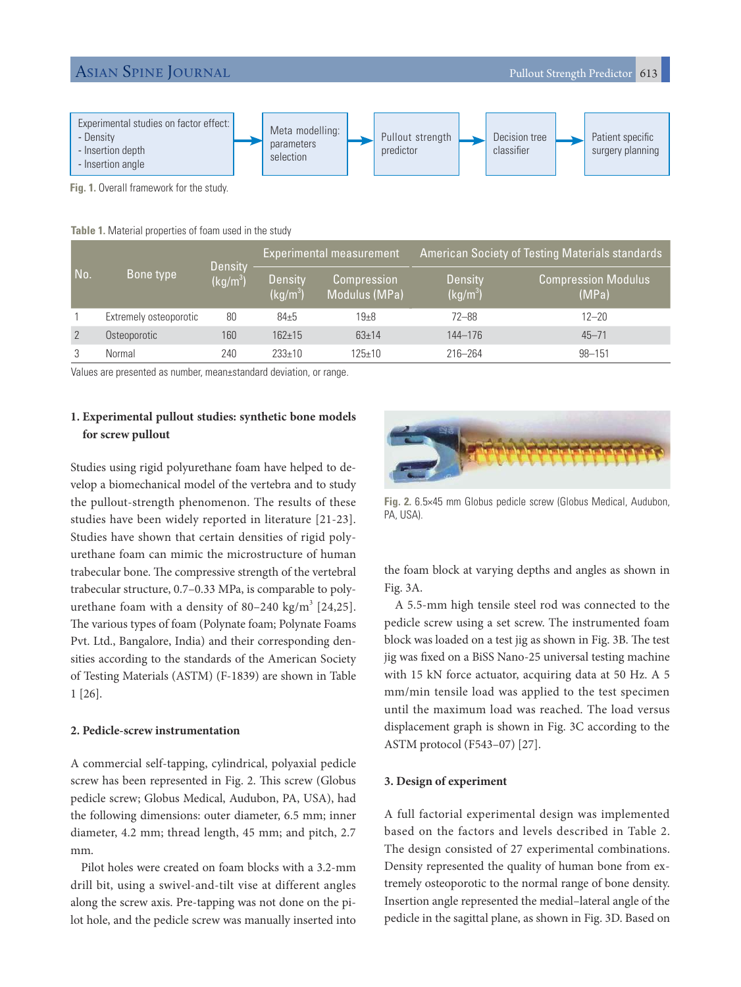

**Fig. 1.** Overall framework for the study.

| Table 1. Material properties of foam used in the study |  |  |  |  |
|--------------------------------------------------------|--|--|--|--|
|--------------------------------------------------------|--|--|--|--|

| No. | <b>Bone type</b>       | Density<br>(kg/m <sup>3</sup> ) | Experimental measurement     |                                     | American Society of Testing Materials standards |                                     |  |
|-----|------------------------|---------------------------------|------------------------------|-------------------------------------|-------------------------------------------------|-------------------------------------|--|
|     |                        |                                 | <b>Density</b><br>$(kq/m^3)$ | <b>Compression</b><br>Modulus (MPa) | Density<br>$(kq/m^3)$                           | <b>Compression Modulus</b><br>(MPa) |  |
|     | Extremely osteoporotic | 80                              | $84 + 5$                     | 19 <sub>±8</sub>                    | $72 - 88$                                       | $12 - 20$                           |  |
| 2   | Osteoporotic           | 160                             | $162 + 15$                   | $63 + 14$                           | 144-176                                         | $45 - 71$                           |  |
| 3   | Normal                 | 240                             | $233+10$                     | $125 \pm 10$                        | $216 - 264$                                     | $98 - 151$                          |  |

Values are presented as number, mean±standard deviation, or range.

### **1. Experimental pullout studies: synthetic bone models for screw pullout**

Studies using rigid polyurethane foam have helped to develop a biomechanical model of the vertebra and to study the pullout-strength phenomenon. The results of these studies have been widely reported in literature [21-23]. Studies have shown that certain densities of rigid polyurethane foam can mimic the microstructure of human trabecular bone. The compressive strength of the vertebral trabecular structure, 0.7–0.33 MPa, is comparable to polyurethane foam with a density of 80–240 kg/m<sup>3</sup> [24,25]. The various types of foam (Polynate foam; Polynate Foams Pvt. Ltd., Bangalore, India) and their corresponding densities according to the standards of the American Society of Testing Materials (ASTM) (F-1839) are shown in Table 1 [26].

#### **2. Pedicle-screw instrumentation**

A commercial self-tapping, cylindrical, polyaxial pedicle screw has been represented in Fig. 2. This screw (Globus pedicle screw; Globus Medical, Audubon, PA, USA), had the following dimensions: outer diameter, 6.5 mm; inner diameter, 4.2 mm; thread length, 45 mm; and pitch, 2.7 mm.

Pilot holes were created on foam blocks with a 3.2-mm drill bit, using a swivel-and-tilt vise at different angles along the screw axis. Pre-tapping was not done on the pilot hole, and the pedicle screw was manually inserted into



**Fig. 2.** 6.5×45 mm Globus pedicle screw (Globus Medical, Audubon, PA, USA).

the foam block at varying depths and angles as shown in Fig. 3A.

A 5.5-mm high tensile steel rod was connected to the pedicle screw using a set screw. The instrumented foam block was loaded on a test jig as shown in Fig. 3B. The test jig was fixed on a BiSS Nano-25 universal testing machine with 15 kN force actuator, acquiring data at 50 Hz. A 5 mm/min tensile load was applied to the test specimen until the maximum load was reached. The load versus displacement graph is shown in Fig. 3C according to the ASTM protocol (F543–07) [27].

#### **3. Design of experiment**

A full factorial experimental design was implemented based on the factors and levels described in Table 2. The design consisted of 27 experimental combinations. Density represented the quality of human bone from extremely osteoporotic to the normal range of bone density. Insertion angle represented the medial–lateral angle of the pedicle in the sagittal plane, as shown in Fig. 3D. Based on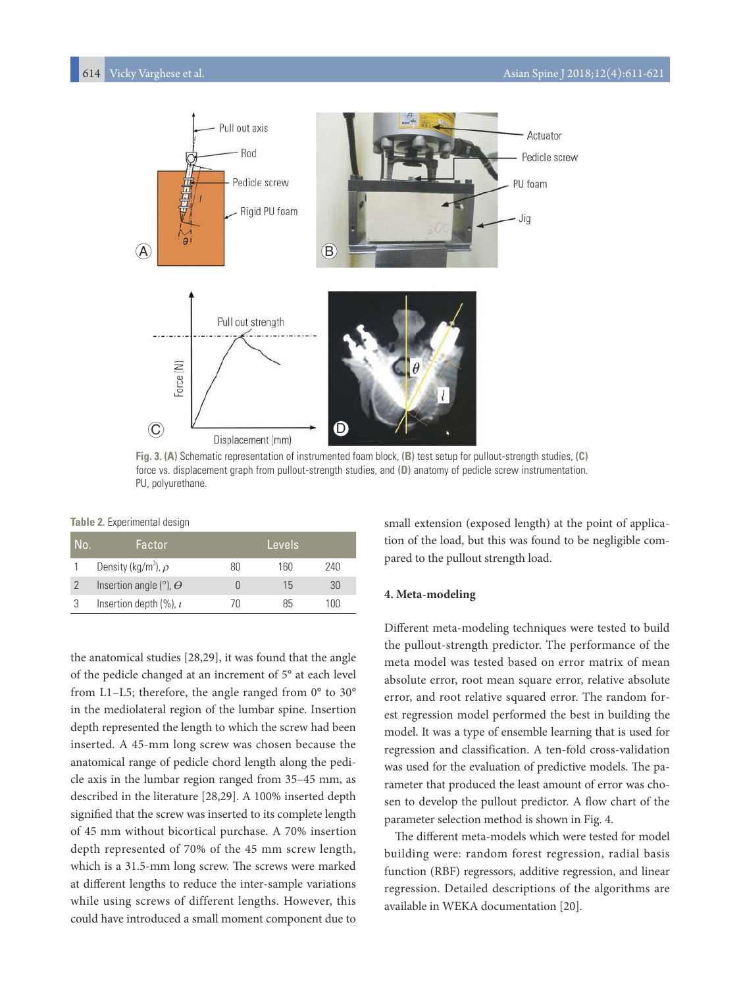

**Fig. 3. (A)** Schematic representation of instrumented foam block, **(B)** test setup for pullout-strength studies, **(C)** force vs. displacement graph from pullout-strength studies, and **(D)** anatomy of pedicle screw instrumentation. PU, polyurethane.

**Table 2.** Experimental design

| No. | Factor                                  |    | Levels |     |
|-----|-----------------------------------------|----|--------|-----|
|     | Density (kg/m <sup>3</sup> ), $\rho$    | 80 | 160    | 240 |
|     | Insertion angle ( $\degree$ ), $\Theta$ |    | 15     | 30  |
|     | Insertion depth $(\%)$ , $\iota$        |    | 85     | 100 |

the anatomical studies [28,29], it was found that the angle of the pedicle changed at an increment of 5° at each level from L1–L5; therefore, the angle ranged from 0° to 30° in the mediolateral region of the lumbar spine. Insertion depth represented the length to which the screw had been inserted. A 45-mm long screw was chosen because the anatomical range of pedicle chord length along the pedicle axis in the lumbar region ranged from 35–45 mm, as described in the literature [28,29]. A 100% inserted depth signified that the screw was inserted to its complete length of 45 mm without bicortical purchase. A 70% insertion depth represented of 70% of the 45 mm screw length, which is a 31.5-mm long screw. The screws were marked at different lengths to reduce the inter-sample variations while using screws of different lengths. However, this could have introduced a small moment component due to

small extension (exposed length) at the point of application of the load, but this was found to be negligible compared to the pullout strength load.

#### **4. Meta-modeling**

Different meta-modeling techniques were tested to build the pullout-strength predictor. The performance of the meta model was tested based on error matrix of mean absolute error, root mean square error, relative absolute error, and root relative squared error. The random forest regression model performed the best in building the model. It was a type of ensemble learning that is used for regression and classification. A ten-fold cross-validation was used for the evaluation of predictive models. The parameter that produced the least amount of error was chosen to develop the pullout predictor. A flow chart of the parameter selection method is shown in Fig. 4.

The different meta-models which were tested for model building were: random forest regression, radial basis function (RBF) regressors, additive regression, and linear regression. Detailed descriptions of the algorithms are available in WEKA documentation [20].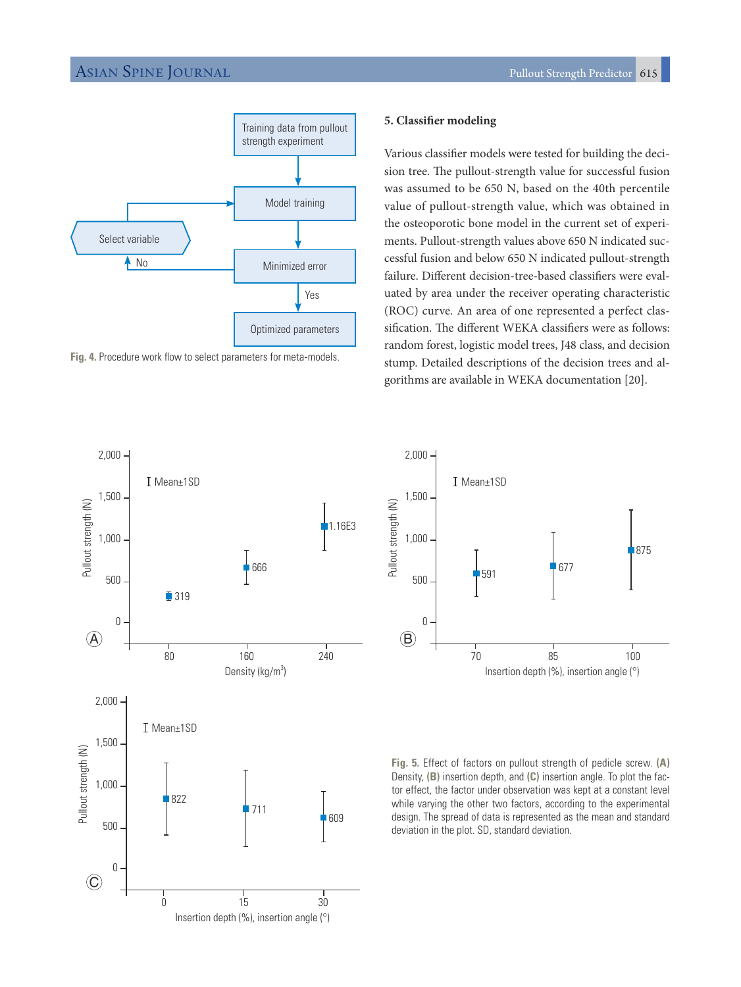

**Fig. 4.** Procedure work flow to select parameters for meta-models.

#### **5. Classifier modeling**

Various classifier models were tested for building the decision tree. The pullout-strength value for successful fusion was assumed to be 650 N, based on the 40th percentile value of pullout-strength value, which was obtained in the osteoporotic bone model in the current set of experiments. Pullout-strength values above 650 N indicated successful fusion and below 650 N indicated pullout-strength failure. Different decision-tree-based classifiers were evaluated by area under the receiver operating characteristic (ROC) curve. An area of one represented a perfect classification. The different WEKA classifiers were as follows: random forest, logistic model trees, J48 class, and decision stump. Detailed descriptions of the decision trees and algorithms are available in WEKA documentation [20].





**Fig. 5.** Effect of factors on pullout strength of pedicle screw. **(A)**  Density, **(B)** insertion depth, and **(C)** insertion angle. To plot the factor effect, the factor under observation was kept at a constant level while varying the other two factors, according to the experimental design. The spread of data is represented as the mean and standard deviation in the plot. SD, standard deviation.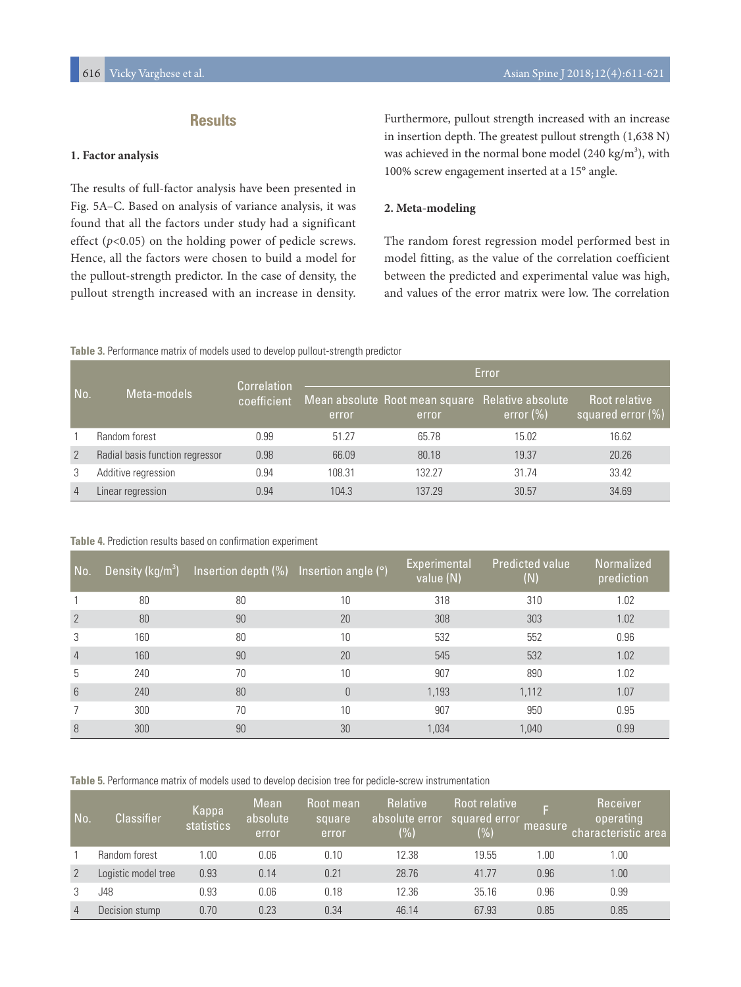# **Results**

#### **1. Factor analysis**

The results of full-factor analysis have been presented in Fig. 5A–C. Based on analysis of variance analysis, it was found that all the factors under study had a significant effect  $(p<0.05)$  on the holding power of pedicle screws. Hence, all the factors were chosen to build a model for the pullout-strength predictor. In the case of density, the pullout strength increased with an increase in density.

Furthermore, pullout strength increased with an increase in insertion depth. The greatest pullout strength (1,638 N) was achieved in the normal bone model  $(240 \text{ kg/m}^3)$ , with 100% screw engagement inserted at a 15° angle.

#### **2. Meta-modeling**

The random forest regression model performed best in model fitting, as the value of the correlation coefficient between the predicted and experimental value was high, and values of the error matrix were low. The correlation

#### **Table 3.** Performance matrix of models used to develop pullout-strength predictor

| No.            | Meta-models                     | Correlation<br>coefficient | Error  |                                                           |              |                                       |  |  |
|----------------|---------------------------------|----------------------------|--------|-----------------------------------------------------------|--------------|---------------------------------------|--|--|
|                |                                 |                            | error  | Mean absolute Root mean square Relative absolute<br>error | error $(\%)$ | Root relative<br>squared error $(\%)$ |  |  |
|                | Random forest                   | 0.99                       | 51.27  | 65.78                                                     | 15.02        | 16.62                                 |  |  |
| 2              | Radial basis function regressor | 0.98                       | 66.09  | 80.18                                                     | 19.37        | 20.26                                 |  |  |
| 3              | Additive regression             | 0.94                       | 108.31 | 132.27                                                    | 31.74        | 33.42                                 |  |  |
| $\overline{4}$ | Linear regression               | 0.94                       | 104.3  | 137.29                                                    | 30.57        | 34.69                                 |  |  |

#### **Table 4.** Prediction results based on confirmation experiment

| No.             | Density ( $\text{kg/m}^3$ ) | Insertion depth $(\%)$ Insertion angle $(°)$ |          | Experimental<br>value (N) | <b>Predicted value</b><br>$(\mathsf{N})$ | Normalized<br>prediction |
|-----------------|-----------------------------|----------------------------------------------|----------|---------------------------|------------------------------------------|--------------------------|
|                 | 80                          | 80                                           | 10       | 318                       | 310                                      | 1.02                     |
| $\overline{2}$  | 80                          | 90                                           | 20       | 308                       | 303                                      | 1.02                     |
| 3               | 160                         | 80                                           | 10       | 532                       | 552                                      | 0.96                     |
| $\overline{4}$  | 160                         | 90                                           | 20       | 545                       | 532                                      | 1.02                     |
| 5               | 240                         | 70                                           | 10       | 907                       | 890                                      | 1.02                     |
| $6\overline{6}$ | 240                         | 80                                           | $\theta$ | 1,193                     | 1,112                                    | 1.07                     |
|                 | 300                         | 70                                           | 10       | 907                       | 950                                      | 0.95                     |
| 8               | 300                         | 90                                           | 30       | 1,034                     | 1,040                                    | 0.99                     |

**Table 5.** Performance matrix of models used to develop decision tree for pedicle-screw instrumentation

| No.            | <b>Classifier</b>   | Kappa<br>statistics | Mean<br>absolute<br>error | Root mean<br>square<br>error | <b>Relative</b><br>absolute error<br>$(\% )$ | Root relative<br>squared error'<br>(%) | F<br>measure | Receiver<br>operating<br>characteristic area |
|----------------|---------------------|---------------------|---------------------------|------------------------------|----------------------------------------------|----------------------------------------|--------------|----------------------------------------------|
|                | Random forest       | 1.00                | 0.06                      | 0.10                         | 12.38                                        | 19.55                                  | .00          | 1.00                                         |
| 2              | Logistic model tree | 0.93                | 0.14                      | 0.21                         | 28.76                                        | 41.77                                  | 0.96         | 1.00                                         |
|                | J48                 | 0.93                | 0.06                      | 0.18                         | 12.36                                        | 35.16                                  | 0.96         | 0.99                                         |
| $\overline{4}$ | Decision stump      | 0.70                | 0.23                      | 0.34                         | 46.14                                        | 67.93                                  | 0.85         | 0.85                                         |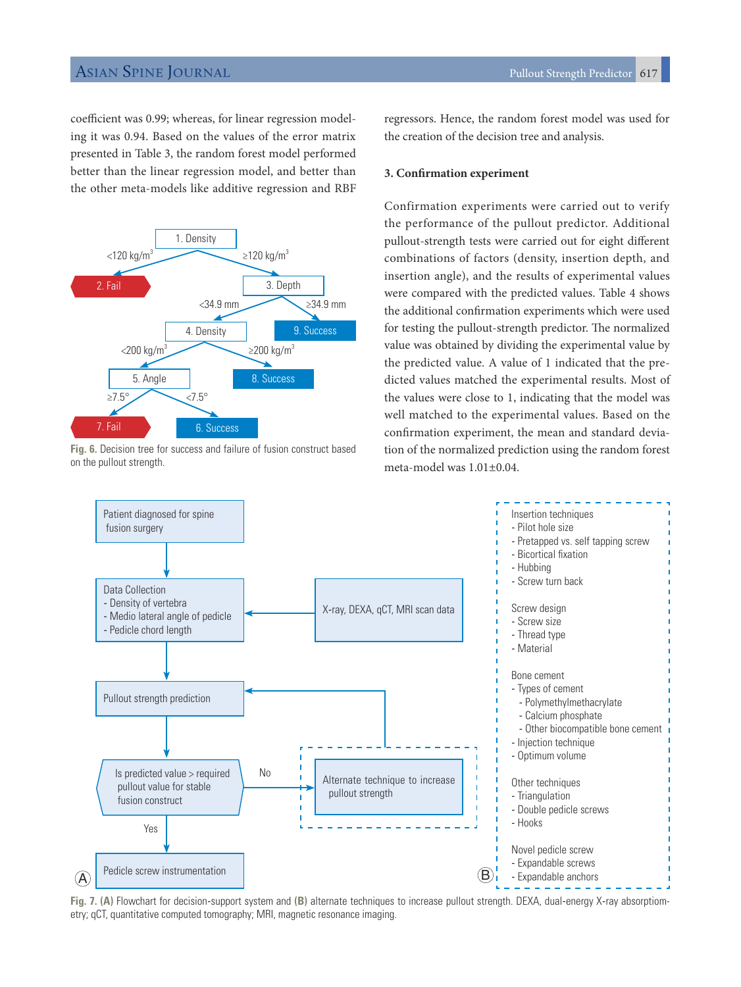coefficient was 0.99; whereas, for linear regression modeling it was 0.94. Based on the values of the error matrix presented in Table 3, the random forest model performed better than the linear regression model, and better than the other meta-models like additive regression and RBF



**Fig. 6.** Decision tree for success and failure of fusion construct based on the pullout strength.

regressors. Hence, the random forest model was used for the creation of the decision tree and analysis.

#### **3. Confirmation experiment**

Confirmation experiments were carried out to verify the performance of the pullout predictor. Additional pullout-strength tests were carried out for eight different combinations of factors (density, insertion depth, and insertion angle), and the results of experimental values were compared with the predicted values. Table 4 shows the additional confirmation experiments which were used for testing the pullout-strength predictor. The normalized value was obtained by dividing the experimental value by the predicted value. A value of 1 indicated that the predicted values matched the experimental results. Most of the values were close to 1, indicating that the model was well matched to the experimental values. Based on the confirmation experiment, the mean and standard deviation of the normalized prediction using the random forest meta-model was 1.01±0.04.



**Fig. 7. (A)** Flowchart for decision-support system and **(B)** alternate techniques to increase pullout strength. DEXA, dual-energy X-ray absorptiometry; qCT, quantitative computed tomography; MRI, magnetic resonance imaging.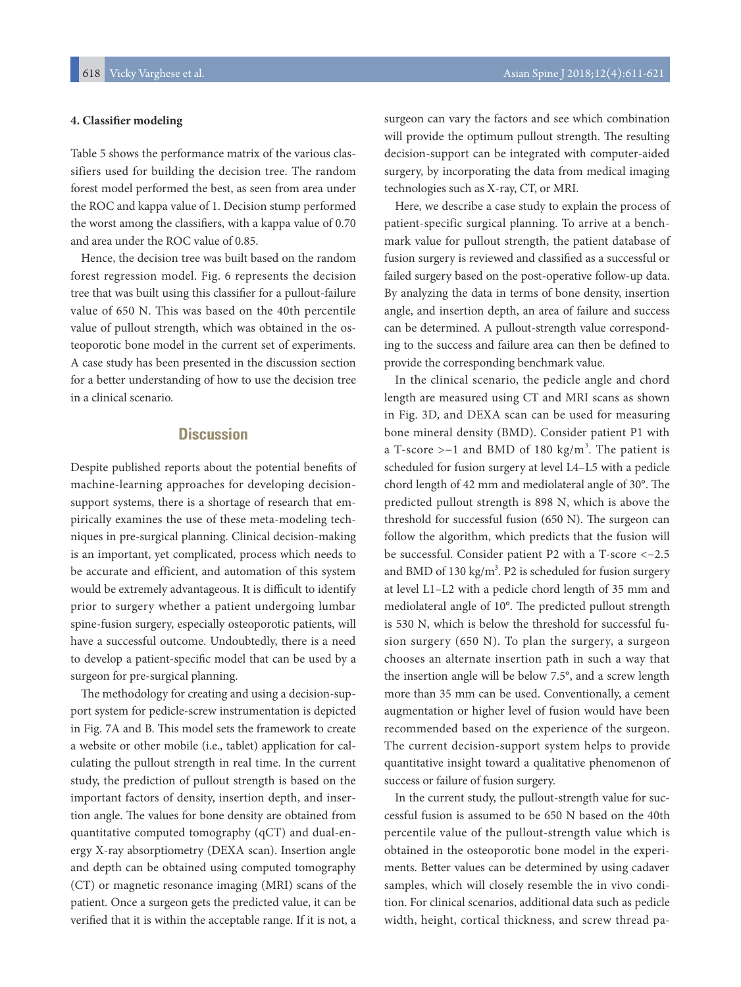#### **4. Classifier modeling**

Table 5 shows the performance matrix of the various classifiers used for building the decision tree. The random forest model performed the best, as seen from area under the ROC and kappa value of 1. Decision stump performed the worst among the classifiers, with a kappa value of 0.70 and area under the ROC value of 0.85.

Hence, the decision tree was built based on the random forest regression model. Fig. 6 represents the decision tree that was built using this classifier for a pullout-failure value of 650 N. This was based on the 40th percentile value of pullout strength, which was obtained in the osteoporotic bone model in the current set of experiments. A case study has been presented in the discussion section for a better understanding of how to use the decision tree in a clinical scenario.

## **Discussion**

Despite published reports about the potential benefits of machine-learning approaches for developing decisionsupport systems, there is a shortage of research that empirically examines the use of these meta-modeling techniques in pre-surgical planning. Clinical decision-making is an important, yet complicated, process which needs to be accurate and efficient, and automation of this system would be extremely advantageous. It is difficult to identify prior to surgery whether a patient undergoing lumbar spine-fusion surgery, especially osteoporotic patients, will have a successful outcome. Undoubtedly, there is a need to develop a patient-specific model that can be used by a surgeon for pre-surgical planning.

The methodology for creating and using a decision-support system for pedicle-screw instrumentation is depicted in Fig. 7A and B. This model sets the framework to create a website or other mobile (i.e., tablet) application for calculating the pullout strength in real time. In the current study, the prediction of pullout strength is based on the important factors of density, insertion depth, and insertion angle. The values for bone density are obtained from quantitative computed tomography (qCT) and dual-energy X-ray absorptiometry (DEXA scan). Insertion angle and depth can be obtained using computed tomography (CT) or magnetic resonance imaging (MRI) scans of the patient. Once a surgeon gets the predicted value, it can be verified that it is within the acceptable range. If it is not, a

surgeon can vary the factors and see which combination will provide the optimum pullout strength. The resulting decision-support can be integrated with computer-aided surgery, by incorporating the data from medical imaging technologies such as X-ray, CT, or MRI.

Here, we describe a case study to explain the process of patient-specific surgical planning. To arrive at a benchmark value for pullout strength, the patient database of fusion surgery is reviewed and classified as a successful or failed surgery based on the post-operative follow-up data. By analyzing the data in terms of bone density, insertion angle, and insertion depth, an area of failure and success can be determined. A pullout-strength value corresponding to the success and failure area can then be defined to provide the corresponding benchmark value.

In the clinical scenario, the pedicle angle and chord length are measured using CT and MRI scans as shown in Fig. 3D, and DEXA scan can be used for measuring bone mineral density (BMD). Consider patient P1 with a T-score >−1 and BMD of 180 kg/m<sup>3</sup>. The patient is scheduled for fusion surgery at level L4–L5 with a pedicle chord length of 42 mm and mediolateral angle of 30°. The predicted pullout strength is 898 N, which is above the threshold for successful fusion (650 N). The surgeon can follow the algorithm, which predicts that the fusion will be successful. Consider patient P2 with a T-score <−2.5 and BMD of 130 kg/m<sup>3</sup>. P2 is scheduled for fusion surgery at level L1–L2 with a pedicle chord length of 35 mm and mediolateral angle of 10°. The predicted pullout strength is 530 N, which is below the threshold for successful fusion surgery (650 N). To plan the surgery, a surgeon chooses an alternate insertion path in such a way that the insertion angle will be below 7.5°, and a screw length more than 35 mm can be used. Conventionally, a cement augmentation or higher level of fusion would have been recommended based on the experience of the surgeon. The current decision-support system helps to provide quantitative insight toward a qualitative phenomenon of success or failure of fusion surgery.

In the current study, the pullout-strength value for successful fusion is assumed to be 650 N based on the 40th percentile value of the pullout-strength value which is obtained in the osteoporotic bone model in the experiments. Better values can be determined by using cadaver samples, which will closely resemble the in vivo condition. For clinical scenarios, additional data such as pedicle width, height, cortical thickness, and screw thread pa-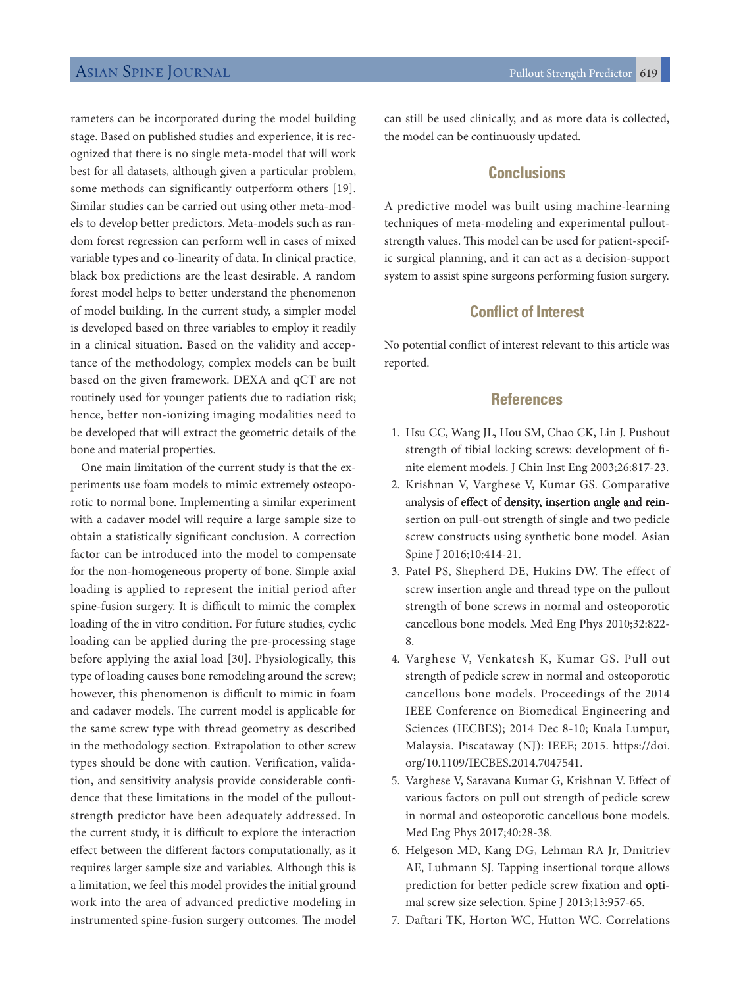rameters can be incorporated during the model building stage. Based on published studies and experience, it is recognized that there is no single meta-model that will work best for all datasets, although given a particular problem, some methods can significantly outperform others [19]. Similar studies can be carried out using other meta-models to develop better predictors. Meta-models such as random forest regression can perform well in cases of mixed variable types and co-linearity of data. In clinical practice, black box predictions are the least desirable. A random forest model helps to better understand the phenomenon of model building. In the current study, a simpler model is developed based on three variables to employ it readily in a clinical situation. Based on the validity and acceptance of the methodology, complex models can be built based on the given framework. DEXA and qCT are not routinely used for younger patients due to radiation risk; hence, better non-ionizing imaging modalities need to be developed that will extract the geometric details of the bone and material properties.

One main limitation of the current study is that the experiments use foam models to mimic extremely osteoporotic to normal bone. Implementing a similar experiment with a cadaver model will require a large sample size to obtain a statistically significant conclusion. A correction factor can be introduced into the model to compensate for the non-homogeneous property of bone. Simple axial loading is applied to represent the initial period after spine-fusion surgery. It is difficult to mimic the complex loading of the in vitro condition. For future studies, cyclic loading can be applied during the pre-processing stage before applying the axial load [30]. Physiologically, this type of loading causes bone remodeling around the screw; however, this phenomenon is difficult to mimic in foam and cadaver models. The current model is applicable for the same screw type with thread geometry as described in the methodology section. Extrapolation to other screw types should be done with caution. Verification, validation, and sensitivity analysis provide considerable confidence that these limitations in the model of the pulloutstrength predictor have been adequately addressed. In the current study, it is difficult to explore the interaction effect between the different factors computationally, as it requires larger sample size and variables. Although this is a limitation, we feel this model provides the initial ground work into the area of advanced predictive modeling in instrumented spine-fusion surgery outcomes. The model

can still be used clinically, and as more data is collected, the model can be continuously updated.

# **Conclusions**

A predictive model was built using machine-learning techniques of meta-modeling and experimental pulloutstrength values. This model can be used for patient-specific surgical planning, and it can act as a decision-support system to assist spine surgeons performing fusion surgery.

### **Conflict of Interest**

No potential conflict of interest relevant to this article was reported.

### **References**

- 1. Hsu CC, Wang JL, Hou SM, Chao CK, Lin J. Pushout strength of tibial locking screws: development of finite element models. J Chin Inst Eng 2003;26:817-23.
- 2. Krishnan V, Varghese V, Kumar GS. Comparative analysis of effect of density, insertion angle and reinsertion on pull-out strength of single and two pedicle screw constructs using synthetic bone model. Asian Spine J 2016;10:414-21.
- 3. Patel PS, Shepherd DE, Hukins DW. The effect of screw insertion angle and thread type on the pullout strength of bone screws in normal and osteoporotic cancellous bone models. Med Eng Phys 2010;32:822- 8.
- 4. Varghese V, Venkatesh K, Kumar GS. Pull out strength of pedicle screw in normal and osteoporotic cancellous bone models. Proceedings of the 2014 IEEE Conference on Biomedical Engineering and Sciences (IECBES); 2014 Dec 8-10; Kuala Lumpur, Malaysia. Piscataway (NJ): IEEE; 2015. https://doi. org/10.1109/IECBES.2014.7047541.
- 5. Varghese V, Saravana Kumar G, Krishnan V. Effect of various factors on pull out strength of pedicle screw in normal and osteoporotic cancellous bone models. Med Eng Phys 2017;40:28-38.
- 6. Helgeson MD, Kang DG, Lehman RA Jr, Dmitriev AE, Luhmann SJ. Tapping insertional torque allows prediction for better pedicle screw fixation and optimal screw size selection. Spine J 2013;13:957-65.
- 7. Daftari TK, Horton WC, Hutton WC. Correlations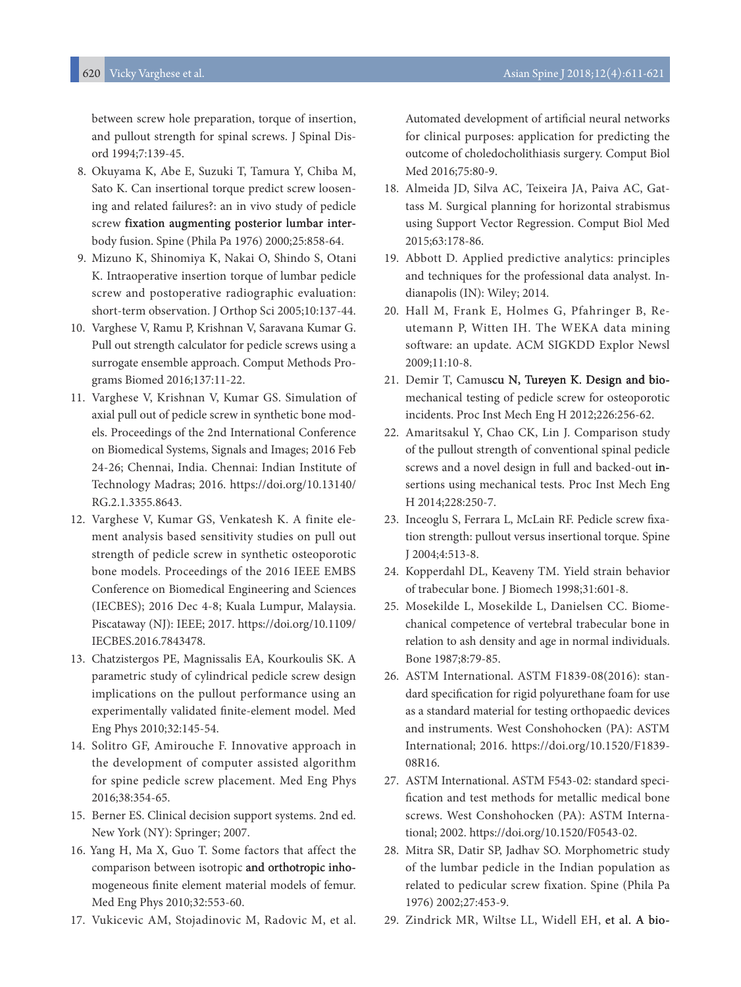between screw hole preparation, torque of insertion, and pullout strength for spinal screws. J Spinal Disord 1994;7:139-45.

- 8. Okuyama K, Abe E, Suzuki T, Tamura Y, Chiba M, Sato K. Can insertional torque predict screw loosening and related failures?: an in vivo study of pedicle screw fixation augmenting posterior lumbar interbody fusion. Spine (Phila Pa 1976) 2000;25:858-64.
- 9. Mizuno K, Shinomiya K, Nakai O, Shindo S, Otani K. Intraoperative insertion torque of lumbar pedicle screw and postoperative radiographic evaluation: short-term observation. J Orthop Sci 2005;10:137-44.
- 10. Varghese V, Ramu P, Krishnan V, Saravana Kumar G. Pull out strength calculator for pedicle screws using a surrogate ensemble approach. Comput Methods Programs Biomed 2016;137:11-22.
- 11. Varghese V, Krishnan V, Kumar GS. Simulation of axial pull out of pedicle screw in synthetic bone models. Proceedings of the 2nd International Conference on Biomedical Systems, Signals and Images; 2016 Feb 24-26; Chennai, India. Chennai: Indian Institute of Technology Madras; 2016. https://doi.org/10.13140/ RG.2.1.3355.8643.
- 12. Varghese V, Kumar GS, Venkatesh K. A finite element analysis based sensitivity studies on pull out strength of pedicle screw in synthetic osteoporotic bone models. Proceedings of the 2016 IEEE EMBS Conference on Biomedical Engineering and Sciences (IECBES); 2016 Dec 4-8; Kuala Lumpur, Malaysia. Piscataway (NJ): IEEE; 2017. https://doi.org/10.1109/ IECBES.2016.7843478.
- 13. Chatzistergos PE, Magnissalis EA, Kourkoulis SK. A parametric study of cylindrical pedicle screw design implications on the pullout performance using an experimentally validated finite-element model. Med Eng Phys 2010;32:145-54.
- 14. Solitro GF, Amirouche F. Innovative approach in the development of computer assisted algorithm for spine pedicle screw placement. Med Eng Phys 2016;38:354-65.
- 15. Berner ES. Clinical decision support systems. 2nd ed. New York (NY): Springer; 2007.
- 16. Yang H, Ma X, Guo T. Some factors that affect the comparison between isotropic and orthotropic inhomogeneous finite element material models of femur. Med Eng Phys 2010;32:553-60.
- 17. Vukicevic AM, Stojadinovic M, Radovic M, et al.

Automated development of artificial neural networks for clinical purposes: application for predicting the outcome of choledocholithiasis surgery. Comput Biol Med 2016;75:80-9.

- 18. Almeida JD, Silva AC, Teixeira JA, Paiva AC, Gattass M. Surgical planning for horizontal strabismus using Support Vector Regression. Comput Biol Med 2015;63:178-86.
- 19. Abbott D. Applied predictive analytics: principles and techniques for the professional data analyst. Indianapolis (IN): Wiley; 2014.
- 20. Hall M, Frank E, Holmes G, Pfahringer B, Reutemann P, Witten IH. The WEKA data mining software: an update. ACM SIGKDD Explor Newsl 2009;11:10-8.
- 21. Demir T, Camuscu N, Tureyen K. Design and biomechanical testing of pedicle screw for osteoporotic incidents. Proc Inst Mech Eng H 2012;226:256-62.
- 22. Amaritsakul Y, Chao CK, Lin J. Comparison study of the pullout strength of conventional spinal pedicle screws and a novel design in full and backed-out insertions using mechanical tests. Proc Inst Mech Eng H 2014;228:250-7.
- 23. Inceoglu S, Ferrara L, McLain RF. Pedicle screw fixation strength: pullout versus insertional torque. Spine J 2004;4:513-8.
- 24. Kopperdahl DL, Keaveny TM. Yield strain behavior of trabecular bone. J Biomech 1998;31:601-8.
- 25. Mosekilde L, Mosekilde L, Danielsen CC. Biomechanical competence of vertebral trabecular bone in relation to ash density and age in normal individuals. Bone 1987;8:79-85.
- 26. ASTM International. ASTM F1839-08(2016): standard specification for rigid polyurethane foam for use as a standard material for testing orthopaedic devices and instruments. West Conshohocken (PA): ASTM International; 2016. https://doi.org/10.1520/F1839- 08R16.
- 27. ASTM International. ASTM F543-02: standard specification and test methods for metallic medical bone screws. West Conshohocken (PA): ASTM International; 2002. https://doi.org/10.1520/F0543-02.
- 28. Mitra SR, Datir SP, Jadhav SO. Morphometric study of the lumbar pedicle in the Indian population as related to pedicular screw fixation. Spine (Phila Pa 1976) 2002;27:453-9.
- 29. Zindrick MR, Wiltse LL, Widell EH, et al. A bio-